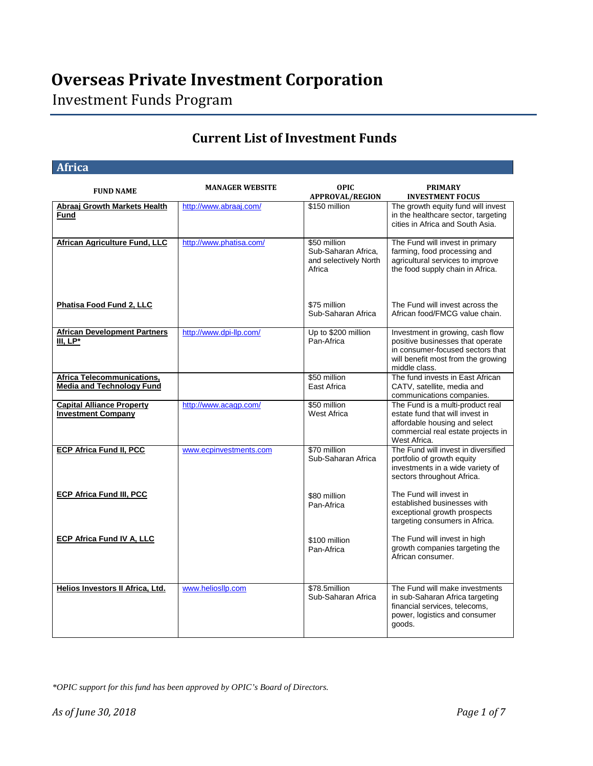Investment Funds Program

### **Current List of Investment Funds**

#### **Africa**

| <b>FUND NAME</b>                                                      | <b>MANAGER WEBSITE</b>  | <b>OPIC</b><br><b>APPROVAL/REGION</b>                                  | <b>PRIMARY</b><br><b>INVESTMENT FOCUS</b>                                                                                                                       |
|-----------------------------------------------------------------------|-------------------------|------------------------------------------------------------------------|-----------------------------------------------------------------------------------------------------------------------------------------------------------------|
| <b>Abraaj Growth Markets Health</b><br><b>Fund</b>                    | http://www.abraaj.com/  | \$150 million                                                          | The growth equity fund will invest<br>in the healthcare sector, targeting<br>cities in Africa and South Asia.                                                   |
| African Agriculture Fund, LLC                                         | http://www.phatisa.com/ | \$50 million<br>Sub-Saharan Africa.<br>and selectively North<br>Africa | The Fund will invest in primary<br>farming, food processing and<br>agricultural services to improve<br>the food supply chain in Africa.                         |
| Phatisa Food Fund 2, LLC                                              |                         | \$75 million<br>Sub-Saharan Africa                                     | The Fund will invest across the<br>African food/FMCG value chain.                                                                                               |
| <b>African Development Partners</b><br>$III, LP*$                     | http://www.dpi-llp.com/ | Up to \$200 million<br>Pan-Africa                                      | Investment in growing, cash flow<br>positive businesses that operate<br>in consumer-focused sectors that<br>will benefit most from the growing<br>middle class. |
| <b>Africa Telecommunications,</b><br><b>Media and Technology Fund</b> |                         | \$50 million<br>East Africa                                            | The fund invests in East African<br>CATV, satellite, media and<br>communications companies.                                                                     |
| <b>Capital Alliance Property</b><br><b>Investment Company</b>         | http://www.acagp.com/   | \$50 million<br><b>West Africa</b>                                     | The Fund is a multi-product real<br>estate fund that will invest in<br>affordable housing and select<br>commercial real estate projects in<br>West Africa.      |
| <b>ECP Africa Fund II, PCC</b>                                        | www.ecpinvestments.com  | \$70 million<br>Sub-Saharan Africa                                     | The Fund will invest in diversified<br>portfolio of growth equity<br>investments in a wide variety of<br>sectors throughout Africa.                             |
| <b>ECP Africa Fund III, PCC</b>                                       |                         | \$80 million<br>Pan-Africa                                             | The Fund will invest in<br>established businesses with<br>exceptional growth prospects<br>targeting consumers in Africa.                                        |
| <b>ECP Africa Fund IV A, LLC</b>                                      |                         | \$100 million<br>Pan-Africa                                            | The Fund will invest in high<br>growth companies targeting the<br>African consumer.                                                                             |
| Helios Investors II Africa, Ltd.                                      | www.heliosllp.com       | \$78.5million<br>Sub-Saharan Africa                                    | The Fund will make investments<br>in sub-Saharan Africa targeting<br>financial services, telecoms,<br>power, logistics and consumer<br>goods.                   |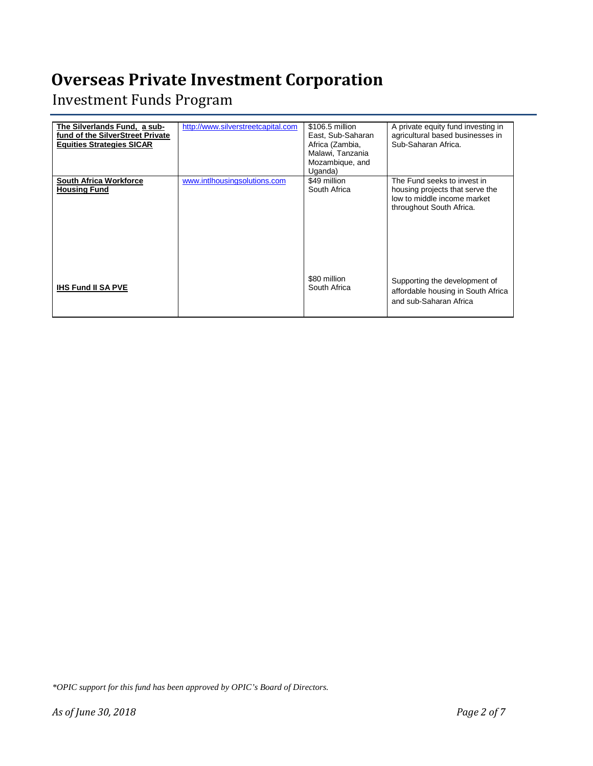Investment Funds Program

| The Silverlands Fund, a sub-<br>fund of the SilverStreet Private<br><b>Equities Strategies SICAR</b> | http://www.silverstreetcapital.com | \$106.5 million<br>East, Sub-Saharan<br>Africa (Zambia,<br>Malawi, Tanzania<br>Mozambique, and<br>Uganda) | A private equity fund investing in<br>agricultural based businesses in<br>Sub-Saharan Africa.                             |
|------------------------------------------------------------------------------------------------------|------------------------------------|-----------------------------------------------------------------------------------------------------------|---------------------------------------------------------------------------------------------------------------------------|
| <b>South Africa Workforce</b><br><b>Housing Fund</b>                                                 | www.intlhousingsolutions.com       | \$49 million<br>South Africa                                                                              | The Fund seeks to invest in<br>housing projects that serve the<br>low to middle income market<br>throughout South Africa. |
| <b>IHS Fund II SA PVE</b>                                                                            |                                    | \$80 million<br>South Africa                                                                              | Supporting the development of<br>affordable housing in South Africa<br>and sub-Saharan Africa                             |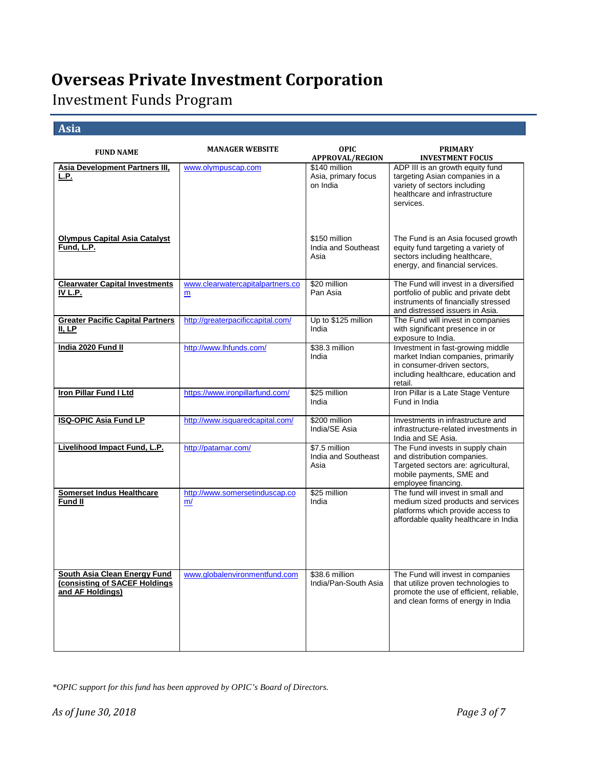Investment Funds Program

#### **Asia**

| <b>FUND NAME</b>                                                                  | <b>MANAGER WEBSITE</b>                | <b>OPIC</b><br><b>APPROVAL/REGION</b>            | <b>PRIMARY</b><br><b>INVESTMENT FOCUS</b>                                                                                                                 |
|-----------------------------------------------------------------------------------|---------------------------------------|--------------------------------------------------|-----------------------------------------------------------------------------------------------------------------------------------------------------------|
| <b>Asia Development Partners III,</b><br>L.P.                                     | www.olympuscap.com                    | \$140 million<br>Asia, primary focus<br>on India | ADP III is an growth equity fund<br>targeting Asian companies in a<br>variety of sectors including<br>healthcare and infrastructure<br>services.          |
| <b>Olympus Capital Asia Catalyst</b><br><b>Fund, L.P.</b>                         |                                       | \$150 million<br>India and Southeast<br>Asia     | The Fund is an Asia focused growth<br>equity fund targeting a variety of<br>sectors including healthcare,<br>energy, and financial services.              |
| <b>Clearwater Capital Investments</b><br><u>IV L.P.</u>                           | www.clearwatercapitalpartners.co<br>m | \$20 million<br>Pan Asia                         | The Fund will invest in a diversified<br>portfolio of public and private debt<br>instruments of financially stressed<br>and distressed issuers in Asia.   |
| <b>Greater Pacific Capital Partners</b><br>II, LP                                 | http://greaterpacificcapital.com/     | Up to \$125 million<br>India                     | The Fund will invest in companies<br>with significant presence in or<br>exposure to India.                                                                |
| India 2020 Fund II                                                                | http://www.lhfunds.com/               | \$38.3 million<br>India                          | Investment in fast-growing middle<br>market Indian companies, primarily<br>in consumer-driven sectors,<br>including healthcare, education and<br>retail.  |
| <b>Iron Pillar Fund I Ltd</b>                                                     | https://www.ironpillarfund.com/       | \$25 million<br>India                            | Iron Pillar is a Late Stage Venture<br>Fund in India                                                                                                      |
| <b>ISQ-OPIC Asia Fund LP</b>                                                      | http://www.isquaredcapital.com/       | \$200 million<br>India/SE Asia                   | Investments in infrastructure and<br>infrastructure-related investments in<br>India and SE Asia.                                                          |
| Livelihood Impact Fund, L.P.                                                      | http://patamar.com/                   | \$7.5 million<br>India and Southeast<br>Asia     | The Fund invests in supply chain<br>and distribution companies.<br>Targeted sectors are: agricultural,<br>mobile payments, SME and<br>employee financing. |
| <b>Somerset Indus Healthcare</b><br><b>Fund II</b>                                | http://www.somersetinduscap.co<br>m/  | \$25 million<br>India                            | The fund will invest in small and<br>medium sized products and services<br>platforms which provide access to<br>affordable quality healthcare in India    |
| South Asia Clean Energy Fund<br>(consisting of SACEF Holdings<br>and AF Holdings) | www.globalenvironmentfund.com         | \$38.6 million<br>India/Pan-South Asia           | The Fund will invest in companies<br>that utilize proven technologies to<br>promote the use of efficient, reliable,<br>and clean forms of energy in India |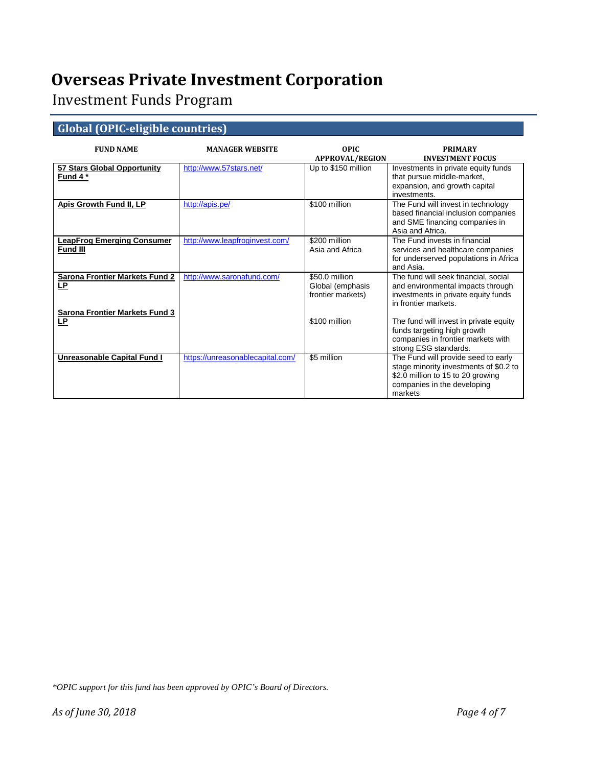Investment Funds Program

### **Global (OPIC-eligible countries)**

| <b>FUND NAME</b>                                     | <b>MANAGER WEBSITE</b>           | OPIC.<br><b>APPROVAL/REGION</b>                         | <b>PRIMARY</b><br><b>INVESTMENT FOCUS</b>                                                                                                                    |
|------------------------------------------------------|----------------------------------|---------------------------------------------------------|--------------------------------------------------------------------------------------------------------------------------------------------------------------|
| 57 Stars Global Opportunity<br>Fund 4 *              | http://www.57stars.net/          | Up to \$150 million                                     | Investments in private equity funds<br>that pursue middle-market,<br>expansion, and growth capital<br>investments.                                           |
| Apis Growth Fund II, LP                              | http://apis.pe/                  | \$100 million                                           | The Fund will invest in technology<br>based financial inclusion companies<br>and SME financing companies in<br>Asia and Africa.                              |
| <b>LeapFrog Emerging Consumer</b><br><b>Fund III</b> | http://www.leapfroginvest.com/   | \$200 million<br>Asia and Africa                        | The Fund invests in financial<br>services and healthcare companies<br>for underserved populations in Africa<br>and Asia.                                     |
| <b>Sarona Frontier Markets Fund 2</b><br><u>LP</u>   | http://www.saronafund.com/       | \$50.0 million<br>Global (emphasis<br>frontier markets) | The fund will seek financial, social<br>and environmental impacts through<br>investments in private equity funds<br>in frontier markets.                     |
| <b>Sarona Frontier Markets Fund 3</b><br>LP.         |                                  | \$100 million                                           | The fund will invest in private equity<br>funds targeting high growth<br>companies in frontier markets with<br>strong ESG standards.                         |
| Unreasonable Capital Fund I                          | https://unreasonablecapital.com/ | \$5 million                                             | The Fund will provide seed to early<br>stage minority investments of \$0.2 to<br>\$2.0 million to 15 to 20 growing<br>companies in the developing<br>markets |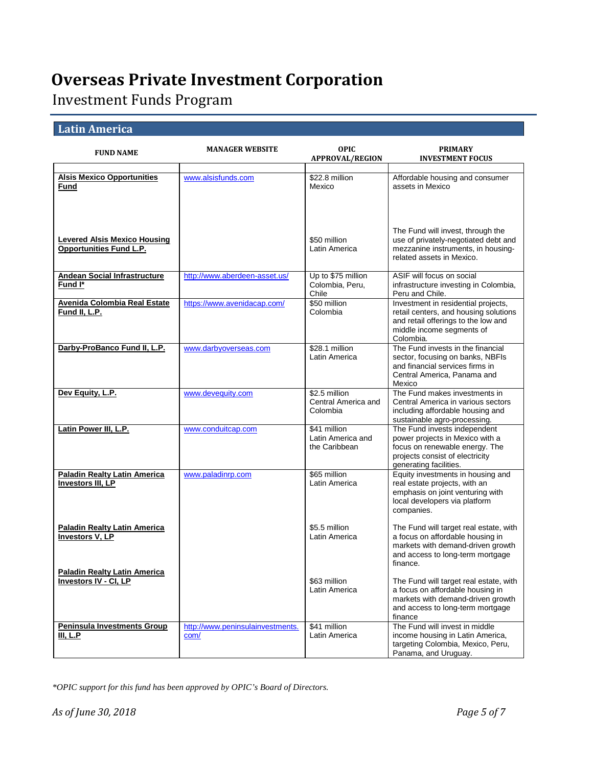Investment Funds Program

### **Latin America**

| <b>FUND NAME</b>                                                      | <b>MANAGER WEBSITE</b>                   | <b>OPIC</b><br><b>APPROVAL/REGION</b>              | <b>PRIMARY</b><br><b>INVESTMENT FOCUS</b>                                                                                                                       |
|-----------------------------------------------------------------------|------------------------------------------|----------------------------------------------------|-----------------------------------------------------------------------------------------------------------------------------------------------------------------|
| <b>Alsis Mexico Opportunities</b><br>Fund                             | www.alsisfunds.com                       | \$22.8 million<br>Mexico                           | Affordable housing and consumer<br>assets in Mexico                                                                                                             |
| <b>Levered Alsis Mexico Housing</b><br><b>Opportunities Fund L.P.</b> |                                          | \$50 million<br>Latin America                      | The Fund will invest, through the<br>use of privately-negotiated debt and<br>mezzanine instruments, in housing-<br>related assets in Mexico.                    |
| <b>Andean Social Infrastructure</b><br>Fund I*                        | http://www.aberdeen-asset.us/            | Up to \$75 million<br>Colombia, Peru,<br>Chile     | ASIF will focus on social<br>infrastructure investing in Colombia,<br>Peru and Chile.                                                                           |
| <b>Avenida Colombia Real Estate</b><br>Fund II, L.P.                  | https://www.avenidacap.com/              | \$50 million<br>Colombia                           | Investment in residential projects,<br>retail centers, and housing solutions<br>and retail offerings to the low and<br>middle income segments of<br>Colombia.   |
| Darby-ProBanco Fund II, L.P.                                          | www.darbyoverseas.com                    | \$28.1 million<br>Latin America                    | The Fund invests in the financial<br>sector, focusing on banks, NBFIs<br>and financial services firms in<br>Central America. Panama and<br>Mexico               |
| Dev Equity, L.P.                                                      | www.devequity.com                        | \$2.5 million<br>Central America and<br>Colombia   | The Fund makes investments in<br>Central America in various sectors<br>including affordable housing and<br>sustainable agro-processing.                         |
| Latin Power III, L.P.                                                 | www.conduitcap.com                       | \$41 million<br>Latin America and<br>the Caribbean | The Fund invests independent<br>power projects in Mexico with a<br>focus on renewable energy. The<br>projects consist of electricity<br>generating facilities.  |
| <b>Paladin Realty Latin America</b><br><b>Investors III, LP</b>       | www.paladinrp.com                        | \$65 million<br>Latin America                      | Equity investments in housing and<br>real estate projects, with an<br>emphasis on joint venturing with<br>local developers via platform<br>companies.           |
| <b>Paladin Realty Latin America</b><br><b>Investors V, LP</b>         |                                          | \$5.5 million<br>Latin America                     | The Fund will target real estate, with<br>a focus on affordable housing in<br>markets with demand-driven growth<br>and access to long-term mortgage<br>finance. |
| <b>Paladin Realty Latin America</b><br>Investors IV - CI, LP          |                                          | \$63 million<br>Latin America                      | The Fund will target real estate, with<br>a focus on affordable housing in<br>markets with demand-driven growth<br>and access to long-term mortgage<br>finance  |
| <b>Peninsula Investments Group</b><br><b>III, L.P</b>                 | http://www.peninsulainvestments.<br>com/ | \$41 million<br>Latin America                      | The Fund will invest in middle<br>income housing in Latin America,<br>targeting Colombia, Mexico, Peru,<br>Panama, and Uruguay.                                 |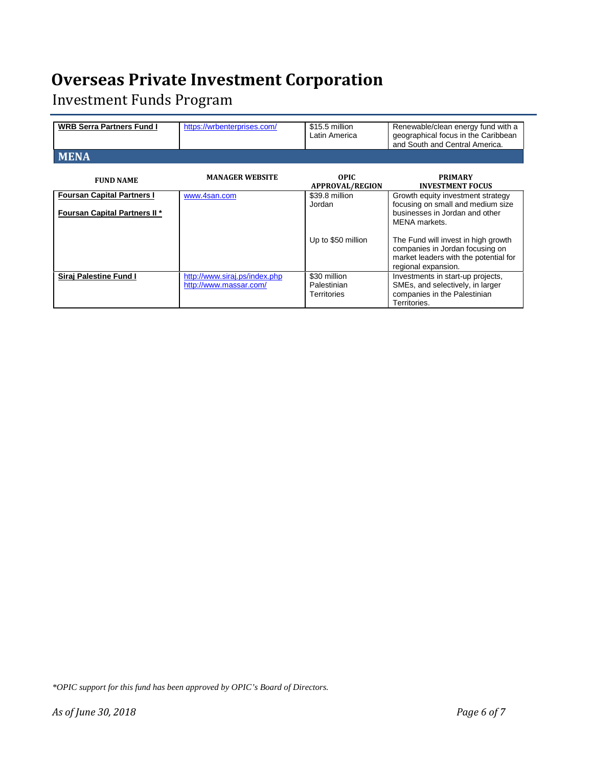Investment Funds Program

| <b>WRB Serra Partners Fund I</b>                                          | https://wrbenterprises.com/                             | \$15.5 million<br>Latin America            | Renewable/clean energy fund with a<br>geographical focus in the Caribbean<br>and South and Central America.                            |
|---------------------------------------------------------------------------|---------------------------------------------------------|--------------------------------------------|----------------------------------------------------------------------------------------------------------------------------------------|
| <b>MENA</b>                                                               |                                                         |                                            |                                                                                                                                        |
| <b>FUND NAME</b>                                                          | <b>MANAGER WEBSITE</b>                                  | OPIC.<br><b>APPROVAL/REGION</b>            | <b>PRIMARY</b><br><b>INVESTMENT FOCUS</b>                                                                                              |
| <b>Foursan Capital Partners I</b><br><b>Foursan Capital Partners II *</b> | www.4san.com                                            | \$39.8 million<br>Jordan                   | Growth equity investment strategy<br>focusing on small and medium size<br>businesses in Jordan and other<br>MENA markets.              |
|                                                                           |                                                         | Up to \$50 million                         | The Fund will invest in high growth<br>companies in Jordan focusing on<br>market leaders with the potential for<br>regional expansion. |
| <b>Siraj Palestine Fund I</b>                                             | http://www.siraj.ps/index.php<br>http://www.massar.com/ | \$30 million<br>Palestinian<br>Territories | Investments in start-up projects,<br>SMEs, and selectively, in larger<br>companies in the Palestinian<br>Territories.                  |